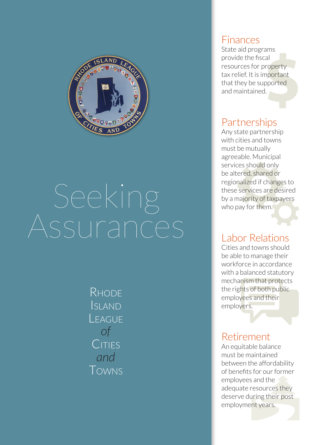

# Seeking

**RHODE** Island **LEAGUE** *of* CITIES *and* Towns

#### Finances

State aid programs provide the fiscal resources for property tax relief. It is important that they be supported and maintained.

## **Partnerships**

Any state partnership with cities and towns must be mutually agreeable. Municipal services should only be altered, shared or regionalized if changes to these services are desired by a majority of taxpayers who pay for them.

## Labor Relations

Cities and towns should be able to manage their workforce in accordance with a balanced statutory mechanism that protects the rights of both public employees and their employers.

## Retirement

An equitable balance must be maintained between the affordability of benefits for our former employees and the adequate resources they deserve during their post employment years.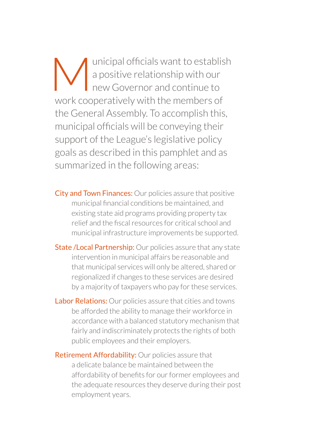Unicipal officials want to establish<br>a positive relationship with our<br>new Governor and continue to a positive relationship with our new Governor and continue to work cooperatively with the members of the General Assembly. To accomplish this, municipal officials will be conveying their support of the League's legislative policy goals as described in this pamphlet and as summarized in the following areas:

**City and Town Finances:** Our policies assure that positive municipal financial conditions be maintained, and existing state aid programs providing property tax relief and the fiscal resources for critical school and municipal infrastructure improvements be supported.

**State / Local Partnership:** Our policies assure that any state intervention in municipal affairs be reasonable and that municipal services will only be altered, shared or regionalized if changes to these services are desired by a majority of taxpayers who pay for these services.

**Labor Relations:** Our policies assure that cities and towns be afforded the ability to manage their workforce in accordance with a balanced statutory mechanism that fairly and indiscriminately protects the rights of both public employees and their employers.

Retirement Affordability: Our policies assure that a delicate balance be maintained between the affordability of benefits for our former employees and the adequate resources they deserve during their post employment years.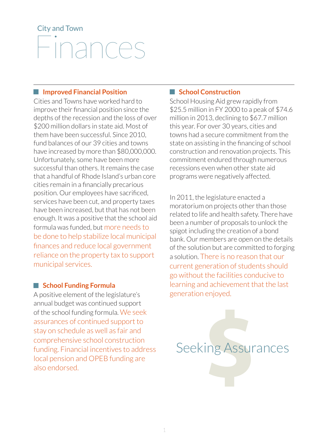# City and Town Finances

#### **Improved Financial Position**

Cities and Towns have worked hard to improve their financial position since the depths of the recession and the loss of over \$200 million dollars in state aid. Most of them have been successful. Since 2010, fund balances of our 39 cities and towns have increased by more than \$80,000,000. Unfortunately, some have been more successful than others. It remains the case that a handful of Rhode Island's urban core cities remain in a financially precarious position. Our employees have sacrificed, services have been cut, and property taxes have been increased, but that has not been enough. It was a positive that the school aid formula was funded, but more needs to be done to help stabilize local municipal finances and reduce local government reliance on the property tax to support municipal services.

#### **School Funding Formula**

A positive element of the legislature's annual budget was continued support of the school funding formula. We seek assurances of continued support to stay on schedule as well as fair and comprehensive school construction funding. Financial incentives to address local pension and OPEB funding are also endorsed.

#### **No. 3 School Construction**

School Housing Aid grew rapidly from \$25.5 million in FY 2000 to a peak of \$74.6 million in 2013, declining to \$67.7 million this year. For over 30 years, cities and towns had a secure commitment from the state on assisting in the financing of school construction and renovation projects. This commitment endured through numerous recessions even when other state aid programs were negatively affected.

In 2011, the legislature enacted a moratorium on projects other than those related to life and health safety. There have been a number of proposals to unlock the spigot including the creation of a bond bank. Our members are open on the details of the solution but are committed to forging a solution. There is no reason that our current generation of students should go without the facilities conducive to learning and achievement that the last generation enjoyed.

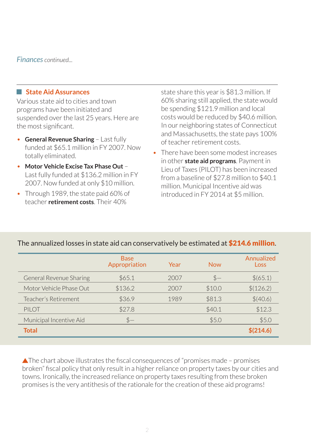#### *Finances continued...*

#### **State Aid Assurances**

Various state aid to cities and town programs have been initiated and suspended over the last 25 years. Here are the most significant.

- **General Revenue Sharing** Last fully funded at \$65.1 million in FY 2007. Now totally eliminated.
- **Motor Vehicle Excise Tax Phase Out** Last fully funded at \$136.2 million in FY 2007. Now funded at only \$10 million.
- Through 1989, the state paid 60% of teacher **retirement costs**. Their 40%

state share this year is \$81.3 million. If 60% sharing still applied, the state would be spending \$121.9 million and local costs would be reduced by \$40.6 million. In our neighboring states of Connecticut and Massachusetts, the state pays 100% of teacher retirement costs.

• There have been some modest increases in other **state aid programs**. Payment in Lieu of Taxes (PILOT) has been increased from a baseline of \$27.8 million to \$40.1 million. Municipal Incentive aid was introduced in FY 2014 at \$5 million.

|                         | <b>Base</b><br>Appropriation | Year | <b>Now</b> | Annualized<br>Loss |
|-------------------------|------------------------------|------|------------|--------------------|
| General Revenue Sharing | \$65.1                       | 2007 | $S-$       | \$(65.1)           |
| Motor Vehicle Phase Out | \$136.2                      | 2007 | \$10.0     | \$(126.2)          |
| Teacher's Retirement    | \$36.9                       | 1989 | \$81.3     | \$(40.6)           |
| PII OT                  | \$27.8                       |      | \$40.1     | \$12.3             |
| Municipal Incentive Aid | $S-$                         |      | \$5.0      | \$5.0              |
| Total                   |                              |      |            | \$(214.6)          |

#### The annualized losses in state aid can conservatively be estimated at \$214.6 million.

 $\blacktriangle$ The chart above illustrates the fiscal consequences of "promises made – promises broken" fiscal policy that only result in a higher reliance on property taxes by our cities and towns. Ironically, the increased reliance on property taxes resulting from these broken promises is the very antithesis of the rationale for the creation of these aid programs!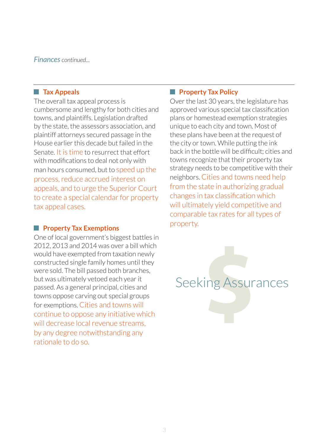*Finances continued...*

#### **Tax Appeals**

The overall tax appeal process is cumbersome and lengthy for both cities and towns, and plaintiffs. Legislation drafted by the state, the assessors association, and plaintiff attorneys secured passage in the House earlier this decade but failed in the Senate. It is time to resurrect that effort with modifications to deal not only with man hours consumed, but to speed up the process, reduce accrued interest on appeals, and to urge the Superior Court to create a special calendar for property tax appeal cases.

#### **Property Tax Exemptions**

One of local government's biggest battles in 2012, 2013 and 2014 was over a bill which would have exempted from taxation newly constructed single family homes until they were sold. The bill passed both branches, but was ultimately vetoed each year it passed. As a general principal, cities and towns oppose carving out special groups for exemptions. Cities and towns will continue to oppose any initiative which will decrease local revenue streams, by any degree notwithstanding any rationale to do so.

#### **Property Tax Policy**

Over the last 30 years, the legislature has approved various special tax classification plans or homestead exemption strategies unique to each city and town. Most of these plans have been at the request of the city or town. While putting the ink back in the bottle will be difficult; cities and towns recognize that their property tax strategy needs to be competitive with their neighbors. Cities and towns need help from the state in authorizing gradual changes in tax classification which will ultimately yield competitive and comparable tax rates for all types of property.

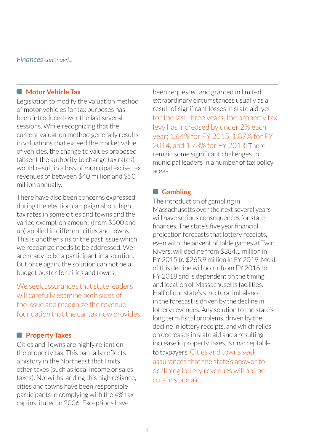*Finances continued...*

#### **Motor Vehicle Tax**

Legislation to modify the valuation method of motor vehicles for tax purposes has been introduced over the last several sessions. While recognizing that the current valuation method generally results in valuations that exceed the market value of vehicles, the change to values proposed (absent the authority to change tax rates) would result in a loss of municipal excise tax revenues of between \$40 million and \$50 million annually.

There have also been concerns expressed during the election campaign about high tax rates in some cities and towns and the varied exemption amount (from \$500 and up) applied in different cities and towns. This is another sins of the past issue which we recognize needs to be addressed. We are ready to be a participant in a solution. But once again, the solution can not be a budget buster for cities and towns.

We seek assurances that state leaders will carefully examine both sides of the issue and recognize the revenue foundation that the car tax now provides.

#### **Property Taxes**

Cities and Towns are highly reliant on the property tax. This partially reflects a history in the Northeast that limits other taxes (such as local income or sales taxes). Notwithstanding this high reliance, cities and towns have been responsible participants in complying with the 4% tax cap instituted in 2006. Exceptions have

been requested and granted in limited extraordinary circumstances usually as a result of significant losses in state aid, yet for the last three years, the property tax levy has increased by under 2% each year; 1.64% for FY 2015, 1.87% for FY 2014, and 1.73% for FY 2013. There remain some significant challenges to municipal leaders in a number of tax policy areas.

#### **Gambling**

The introduction of gambling in Massachusetts over the next several years will have serious consequences for state finances. The state's five year financial projection forecasts that lottery receipts, even with the advent of table games at Twin Rivers, will decline from \$384.5 million in FY 2015 to \$265.9 million in FY 2019. Most of this decline will occur from FY 2016 to FY 2018 and is dependent on the timing and location of Massachusetts facilities. Half of our state's structural imbalance in the forecast is driven by the decline in lottery revenues. Any solution to the state's long term fiscal problems, driven by the decline in lottery receipts, and which relies on decreases in state aid and a resulting increase in property taxes, is unacceptable to taxpayers. Cities and towns seek assurances that the state's answer to declining lottery revenues will not be cuts in state aid.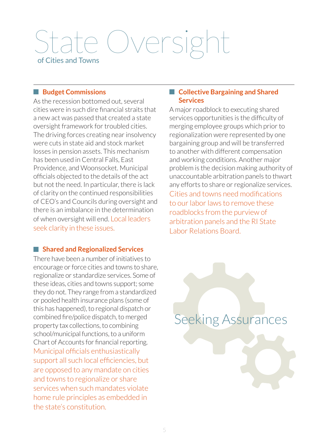# Jversight of Cities and Towns

#### **Budget Commissions**

As the recession bottomed out, several cities were in such dire financial straits that a new act was passed that created a state oversight framework for troubled cities. The driving forces creating near insolvency were cuts in state aid and stock market losses in pension assets. This mechanism has been used in Central Falls, East Providence, and Woonsocket. Municipal officials objected to the details of the act but not the need. In particular, there is lack of clarity on the continued responsibilities of CEO's and Councils during oversight and there is an imbalance in the determination of when oversight will end. Local leaders seek clarity in these issues.

#### **Shared and Regionalized Services**

There have been a number of initiatives to encourage or force cities and towns to share, regionalize or standardize services. Some of these ideas, cities and towns support; some they do not. They range from a standardized or pooled health insurance plans (some of this has happened), to regional dispatch or combined fire/police dispatch, to merged property tax collections, to combining school/municipal functions, to a uniform Chart of Accounts for financial reporting. Municipal officials enthusiastically support all such local efficiencies, but are opposed to any mandate on cities and towns to regionalize or share services when such mandates violate home rule principles as embedded in the state's constitution.

#### **Collective Bargaining and Shared Services**

A major roadblock to executing shared services opportunities is the difficulty of merging employee groups which prior to regionalization were represented by one bargaining group and will be transferred to another with different compensation and working conditions. Another major problem is the decision making authority of unaccountable arbitration panels to thwart any efforts to share or regionalize services. Cities and towns need modifications to our labor laws to remove these roadblocks from the purview of arbitration panels and the RI State Labor Relations Board.

Seeking Assurances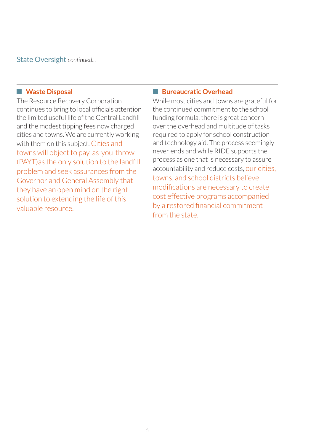State Oversight *continued...*

#### **Waste Disposal**

The Resource Recovery Corporation continues to bring to local officials attention the limited useful life of the Central Landfill and the modest tipping fees now charged cities and towns. We are currently working with them on this subject. Cities and towns will object to pay-as-you-throw (PAYT)as the only solution to the landfill problem and seek assurances from the Governor and General Assembly that they have an open mind on the right solution to extending the life of this valuable resource.

#### **Bureaucratic Overhead**

While most cities and towns are grateful for the continued commitment to the school funding formula, there is great concern over the overhead and multitude of tasks required to apply for school construction and technology aid. The process seemingly never ends and while RIDE supports the process as one that is necessary to assure accountability and reduce costs, our cities, towns, and school districts believe modifications are necessary to create cost effective programs accompanied by a restored financial commitment from the state.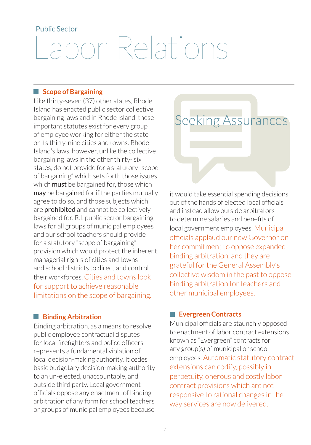# Public Sector Labor Relations

#### **Scope of Bargaining**

Like thirty-seven (37) other states, Rhode Island has enacted public sector collective bargaining laws and in Rhode Island, these important statutes exist for every group of employee working for either the state or its thirty-nine cities and towns. Rhode Island's laws, however, unlike the collective bargaining laws in the other thirty- six states, do not provide for a statutory "scope of bargaining" which sets forth those issues which **must** be bargained for, those which may be bargained for if the parties mutually agree to do so, and those subjects which are **prohibited** and cannot be collectively bargained for. R.I. public sector bargaining laws for all groups of municipal employees and our school teachers should provide for a statutory "scope of bargaining" provision which would protect the inherent managerial rights of cities and towns and school districts to direct and control their workforces. Cities and towns look for support to achieve reasonable limitations on the scope of bargaining.

#### **Binding Arbitration**

Binding arbitration, as a means to resolve public employee contractual disputes for local firefighters and police officers represents a fundamental violation of local decision-making authority. It cedes basic budgetary decision-making authority to an un-elected, unaccountable, and outside third party. Local government officials oppose any enactment of binding arbitration of any form for school teachers or groups of municipal employees because

## Seeking Assurances

it would take essential spending decisions out of the hands of elected local officials and instead allow outside arbitrators to determine salaries and benefits of local government employees. Municipal officials applaud our new Governor on her commitment to oppose expanded binding arbitration, and they are grateful for the General Assembly's collective wisdom in the past to oppose binding arbitration for teachers and other municipal employees.

#### **Evergreen Contracts**

Municipal officials are staunchly opposed to enactment of labor contract extensions known as "Evergreen" contracts for any group(s) of municipal or school employees. Automatic statutory contract extensions can codify, possibly in perpetuity, onerous and costly labor contract provisions which are not responsive to rational changes in the way services are now delivered.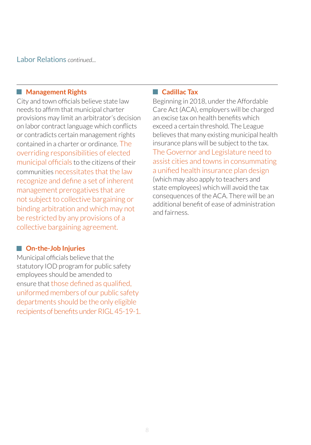Labor Relations *continued...*

#### **Management Rights**

City and town officials believe state law needs to affirm that municipal charter provisions may limit an arbitrator's decision on labor contract language which conflicts or contradicts certain management rights contained in a charter or ordinance. The overriding responsibilities of elected municipal officials to the citizens of their communities necessitates that the law recognize and define a set of inherent management prerogatives that are not subject to collective bargaining or binding arbitration and which may not be restricted by any provisions of a collective bargaining agreement.

#### **On-the-Job Injuries**

Municipal officials believe that the statutory IOD program for public safety employees should be amended to ensure that those defined as qualified, uniformed members of our public safety departments should be the only eligible recipients of benefits under RIGL 45-19-1.

#### **Cadillac Tax**

Beginning in 2018, under the Affordable Care Act (ACA), employers will be charged an excise tax on health benefits which exceed a certain threshold. The League believes that many existing municipal health insurance plans will be subject to the tax. The Governor and Legislature need to assist cities and towns in consummating a unified health insurance plan design (which may also apply to teachers and state employees) which will avoid the tax consequences of the ACA. There will be an additional benefit of ease of administration and fairness.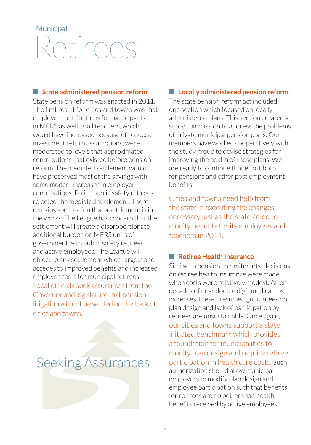# **Municipal** Retirees

#### **State administered pension reform**

State pension reform was enacted in 2011. The first result for cities and towns was that employer contributions for participants in MERS as well as all teachers, which would have increased because of reduced investment return assumptions, were moderated to levels that approximated contributions that existed before pension reform. The mediated settlement would have preserved most of the savings with some modest increases in employer contributions. Police public safety retirees rejected the mediated settlement. There remains speculation that a settlement is in the works. The League has concern that the settlement will create a disproportionate additional burden on MERS units of government with public safety retirees and active employees. The League will object to any settlement which targets and accedes to improved benefits and increased employer costs for municipal retirees. Local officials seek assurances from the Governor and legislature that pension litigation will not be settled on the back of cities and towns.

## Seeking Assurances

#### **Locally administered pension reform**

The state pension reform act included one section which focused on locally administered plans. This section created a study commission to address the problems of private municipal pension plans. Our members have worked cooperatively with the study group to devise strategies for improving the health of these plans. We are ready to continue that effort both for pensions and other post employment benefits.

Cities and towns need help from the state in executing the changes necessary just as the state acted to modify benefits for its employees and teachers in 2011.

#### **Retiree Health Insurance**

Similar to pension commitments, decisions on retiree health insurance were made when costs were relatively modest. After decades of near double digit medical cost increases, these presumed guarantees on plan design and lack of participation by retirees are unsustainable. Once again, our cities and towns support a state initiated benchmark which provides a foundation for municipalities to modify plan design and require retiree participation in health care costs. Such authorization should allow municipal employers to modify plan design and employee participation such that benefits for retirees are no better than health benefits received by active employees.